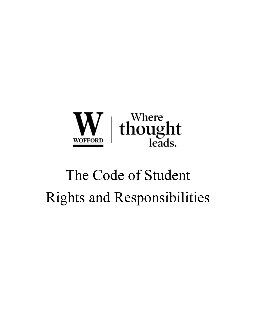

# The Code of Student Rights and Responsibilities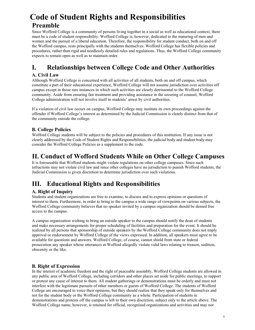# **Code of Student Rights and Responsibilities Preamble**

Since Wofford College is a community of persons living together in a social as well as educational context, there must be a code of student responsibility. Wofford College is, however, dedicated to the maturing of men and women and the pursuit of a liberal education. Therefore, the responsibility for student conduct, both on and off the Wofford campus, rests principally with the students themselves. Wofford College has flexible policies and procedures, rather than rigid and needlessly detailed rules and regulations. Thus, the Wofford College community expects to remain open as well as to maintain order.

# **I. Relationships between College Code and Other Authorities**

# **A. Civil Law**

Although Wofford College is concerned with all activities of all students, both on and off campus, which constitute a part of their educational experience, Wofford College will not assume jurisdiction over activities off campus except in those rare instances in which such activities are clearly detrimental to the Wofford College community. Aside from ensuring fair treatment and providing assistance in the securing of counsel, Wofford College administration will not involve itself in students' arrest by civil authorities.

If a violation of civil law occurs on campus, Wofford College may institute its own proceedings against the offender if Wofford College's interest as determined by the Judicial Commission is clearly distinct from that of the community outside the college.

# **B. College Policies**

Wofford College students will be subject to the policies and procedures of this institution. If any issue is not clearly addressed by the Code of Student Rights and Responsibilities, the judicial body and student body may consider the Wofford College Policies as a supplement to the code.

# **II. Conduct of Wofford Students While on Other College Campuses**

It is foreseeable that Wofford students might violate regulations on other college campuses. Since such infractions may not violate civil law and since other colleges have no jurisdiction to punish Wofford students, the Judicial Commission is given discretion to determine jurisdiction over such violations.

# **III. Educational Rights and Responsibilities**

# **A. Right of Inquiry**

Students and student organizations are free to examine, to discuss and to express opinions or questions of interest to them. Furthermore, in order to bring to the campus a wide range of viewpoints on various subjects, the Wofford College community believes that no speaker invited by a campus organization should be denied free access to the campus.

A campus organization wishing to bring an outside speaker to the campus should notify the dean of students and make necessary arrangements for proper scheduling of facilities and preparation for the event. It should be realized by all persons that sponsorship of outside speakers by the Wofford College community does not imply approval or endorsement by Wofford College of the views expressed. In addition, all speakers must agree to be available for questions and answers. Wofford College, of course, cannot shield from state or federal prosecution any speaker whose utterances at Wofford allegedly violate valid laws relating to treason, sedition, obscenity or the like.

# **B. Right of Expression**

In the interest of academic freedom and the right of peaceable assembly, Wofford College students are allowed in any public area of Wofford College, including corridors and other places set aside for public meetings, to support or protest any cause of interest to them. All student gatherings or demonstrations must be orderly and must not interfere with the legitimate pursuits of other members or guests of Wofford College. The students of Wofford College are encouraged to voice their opinions, but they should realize that they speak only for themselves and not for the student body or the Wofford College community as a whole. Participation of students in demonstrations and protests off the campus is left to their own discretion, subject only to the article above. The Wofford College name, however, is retained for official, recognized organizations and activities and may not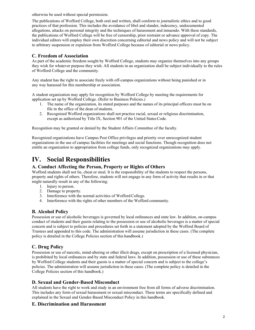otherwise be used without special permission.

The publications of Wofford College, both oral and written, shall conform to journalistic ethics and to good practices of that profession. This includes the avoidance of libel and slander, indecency, undocumented allegations, attacks on personal integrity and the techniques of harassment and innuendo. With these standards, the publications of Wofford College will be free of censorship, prior restraint or advance approval of copy. The individual editors will employ their own discretion concerning editorial and news policy and will not be subject to arbitrary suspension or expulsion from Wofford College because of editorial or news policy.

# **C. Freedom of Association**

As part of the academic freedom sought by Wofford College, students may organize themselves into any groups they wish for whatever purpose they wish. All students in an organization shall be subject individually to the rules of Wofford College and the community.

Any student has the right to associate freely with off-campus organizations without being punished or in any way harassed for this membership or association.

A student organization may apply for recognition by Wofford College by meeting the requirements for application set up by Wofford College. (Refer to Business Policies.)

- 1. The name of the organization, its stated purposes and the names of its principal officers must be on file in the office of the dean of students.
- 2. Recognized Wofford organizations shall not practice racial, sexual or religious discrimination, except as authorized by Title IX, Section 901 of the United States Code.

Recognition may be granted or denied by the Student Affairs Committee of the faculty.

Recognized organizations have Campus Post Office privileges and priority over unrecognized student organizations in the use of campus facilities for meetings and social functions. Though recognition does not entitle an organization to appropriation from college funds, only recognized organizations may apply.

# **IV. Social Responsibilities**

# **A. Conduct Affecting the Person, Property or Rights of Others**

Wofford students shall not lie, cheat or steal. It is the responsibility of the students to respect the persons, property and rights of others. Therefore, students will not engage in any form of activity that results in or that might naturally result in any of the following:

- 1. Injury to person.
- 2. Damage to property.
- 3. Interference with the normal activities of Wofford College.
- 4. Interference with the rights of other members of the Wofford community.

# **B. Alcohol Policy**

Possession or use of alcoholic beverages is governed by local ordinances and state law. In addition, on-campus conduct of students and their guests relating to the possession or use of alcoholic beverages is a matter of special concern and is subject to policies and procedures set forth in a statement adopted by the Wofford Board of Trustees and appended to this code. The administration will assume jurisdiction in these cases. (The complete policy is detailed in the College Policies section of this handbook.)

# **C. Drug Policy**

Possession or use of narcotic, mind-altering or other illicit drugs, except on prescription of a licensed physician, is prohibited by local ordinances and by state and federal laws. In addition, possession or use of these substances by Wofford College students and their guests is a matter of special concern and is subject to the college's policies. The administration will assume jurisdiction in these cases. (The complete policy is detailed in the College Policies section of this handbook.)

# **D. Sexual and Gender-Based Misconduct**

All students have the right to work and study in an environment free from all forms of adverse discrimination. This includes any form of sexual harassment or sexual misconduct. These terms are specifically defined and explained in the Sexual and Gender-Based Misconduct Policy in this handbook.

# **E. Discrimination and Harassment**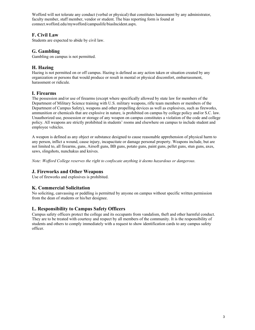Wofford will not tolerate any conduct (verbal or physical) that constitutes harassment by any administrator, faculty member, staff member, vendor or student. The bias reporting form is found at connect.wofford.edu/mywofford/campuslife/biasIncident.aspx.

# **F. Civil Law**

Students are expected to abide by civil law.

# **G. Gambling**

Gambling on campus is not permitted.

# **H. Hazing**

Hazing is not permitted on or off campus. Hazing is defined as any action taken or situation created by any organization or persons that would produce or result in mental or physical discomfort, embarrassment, harassment or ridicule.

# **I. Firearms**

The possession and/or use of firearms (except where specifically allowed by state law for members of the Department of Military Science training with U.S. military weapons, rifle team members or members of the Department of Campus Safety), weapons and other propelling devices as well as explosives, such as fireworks, ammunition or chemicals that are explosive in nature, is prohibited on campus by college policy and/or S.C. law. Unauthorized use, possession or storage of any weapon on campus constitutes a violation of the code and college policy. All weapons are strictly prohibited in students' rooms and elsewhere on campus to include student and employee vehicles.

A weapon is defined as any object or substance designed to cause reasonable apprehension of physical harm to any person, inflict a wound, cause injury, incapacitate or damage personal property. Weapons include, but are not limited to, all firearms, guns, Airsoft guns, BB guns, potato guns, paint guns, pellet guns, stun guns, axes, saws, slingshots, nunchakus and knives.

*Note: Wofford College reserves the right to confiscate anything it deems hazardous or dangerous.*

# **J. Fireworks and Other Weapons**

Use of fireworks and explosives is prohibited.

# **K. Commercial Solicitation**

No soliciting, canvassing or peddling is permitted by anyone on campus without specific written permission from the dean of students or his/her designee.

# **L. Responsibility to Campus Safety Officers**

Campus safety officers protect the college and its occupants from vandalism, theft and other harmful conduct. They are to be treated with courtesy and respect by all members of the community. It is the responsibility of students and others to comply immediately with a request to show identification cards to any campus safety officer.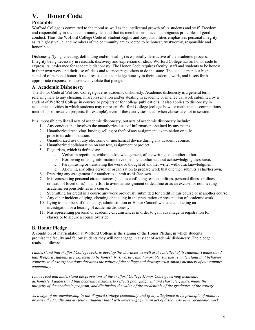# **V. Honor Code**

# **Preamble**

Wofford College is committed to the moral as well as the intellectual growth of its students and staff. Freedom and responsibility in such a community demand that its members embrace unambiguous principles of good conduct. Thus, the Wofford College Code of Student Rights and Responsibilities emphasizes personal integrity as its highest value, and members of the community are expected to be honest, trustworthy, responsible and honorable.

Dishonesty (lying, cheating, defrauding and/or stealing) is especially destructive of the academic process. Integrity being necessary in research, discovery and expression of ideas, Wofford College has an honor code to express its intolerance for academic dishonesty. The Honor Code requires faculty, staff and students to be honest in their own work and their use of ideas and to encourage others to do the same. The code demands a high standard of personal honor. It requires students to pledge honesty in their academic work, and it sets forth appropriate responses to those who violate that pledge.

# **A. Academic Dishonesty**

The Honor Code at Wofford College governs academic dishonesty. Academic dishonesty is a general term referring here to any cheating, misrepresentation and/or stealing in academic or intellectual work submitted by a student of Wofford College in courses or projects or for college publications. It also applies to dishonesty in academic activities in which students may represent Wofford College (college bowl or mathematics competitions, internships or research projects, for example), even if these activities occur when classes are not in session.

It is impossible to list all acts of academic dishonesty, but acts of academic dishonesty include:

- 1. Any conduct that involves the unauthorized use of information obtained by anymeans.
- 2. Unauthorized receiving, buying, selling or theft of any assignment, examination or quiz prior to its administration.
- 3. Unauthorized use of any electronic or mechanical device during any academic course.
- 4. Unauthorized collaboration on any test, assignment or project.
- 5. Plagiarism, which is defined as:
	- a. Verbatim repetition, without acknowledgement, of the writings of another author.
	- b. Borrowing or using information developed by another without acknowledging the source.
	- c. Paraphrasing or translating the work or thought of another writer withoutacknowledgment.
	- d. Allowing any other person or organization to prepare work that one then submits as his/herown.
- 6. Preparing any assignment for another to submit as his/her own.
- 7. Misrepresenting personal circumstances (such as conflicting responsibilities, personal illness or illness or death of loved ones) in an effort to avoid an assignment or deadline or as an excuse for not meeting academic responsibilities in a course.
- 8. Submitting for credit in a course any work previously submitted for credit in this course or in another course.
- 9. Any other incident of lying, cheating or stealing in the preparation or presentation of academicwork.
- 10. Lying to members of the faculty, administration or Honor Council who are conducting an investigation or a hearing of academic dishonesty.
- 11. Misrepresenting personal or academic circumstances in order to gain advantage in registration for classes or to secure a course override.

# **B. Honor Pledge**

A condition of matriculation at Wofford College is the signing of the Honor Pledge, in which students promise the faculty and fellow students they will not engage in any act of academic dishonesty. The pledge reads as follows:

*I understand that Wofford College seeks to develop the character as well as the intellect of its students. I understand that Wofford students are expected to be honest, trustworthy, and honorable. Further, I understand that behavior contrary to these expectations threatens the values of the college and destroys trust among members of our campus community.*

*I have read and understand the provisions of the Wofford College Honor Code governing academic dishonesty. I understand that academic dishonesty reflects poor judgment and character, undermines the integrity of the academic program, and diminishes the value of the credentials of the graduates of the college.*

*As a sign of my membership in the Wofford College community and of my allegiance to its principle of honor, I promise the faculty and my fellow students that I will never engage in an act of dishonesty in my academic work.*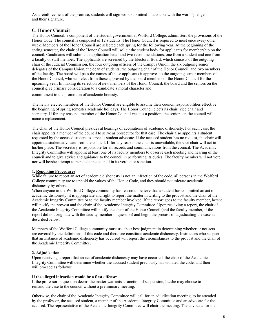As a reinforcement of the promise, students will sign work submitted in a course with the word "pledged" and their signature.

# **C. Honor Council**

The Honor Council, a component of the student government at Wofford College, administers the provisions of the Honor Code. The council is composed of 12 students. The Honor Council is required to meet once every other week. Members of the Honor Council are selected each spring for the following year. At the beginning of the spring semester, the chair of the Honor Council will solicit the student body for applicants for membership on the council. Candidates will submit an application letter and two recommendations, one from a student and one from a faculty or staff member. The applicants are screened by the Electoral Board, which consists of the outgoing chair of the Judicial Commission, the four outgoing officers of the Campus Union, the six outgoing senior delegates of the Campus Union, the dean of students, the outgoing chair of the Honor Council, and two members of the faculty. The board will pass the names of those applicants it approves to the outgoing senior members of the Honor Council, who will elect from those approved by the board members of the Honor Council for the upcoming year. In making its selection of new members of the Honor Council, the board and the seniors on the council give primary consideration to a candidate's moral character and

commitment to the promotion of academic honesty.

The newly elected members of the Honor Council are eligible to assume their council responsibilities effective the beginning of spring semester academic holidays. The Honor Council elects its chair, vice chair and secretary. If for any reason a member of the Honor Council vacates a position, the seniors on the council will name a replacement.

The chair of the Honor Council presides at hearings of accusations of academic dishonesty. For each case, the chair appoints a member of the council to serve as prosecutor for that case. The chair also appoints a student requested by the accused student to serve as student advocate. If the accused student has no request, the chair will appoint a student advocate from the council. If for any reason the chair is unavailable, the vice chair will act in his/her place. The secretary is responsible for all records and communications from the council. The Academic Integrity Committee will appoint at least one of its faculty members to observe each meeting and hearing of the council and to give advice and guidance to the council in performing its duties. The faculty member will not vote, nor will he/she attempt to persuade the council in its verdict or sanction.

#### **1. Reporting Procedures**

While failure to report an act of academic dishonesty is not an infraction of the code, all persons in the Wofford College community are to uphold the values of the Honor Code, and they should not tolerate academic dishonesty by others.

When anyone in the Wofford College community has reason to believe that a student has committed an act of academic dishonesty, it is appropriate and right to report the matter in writing to the provost and the chair of the Academic Integrity Committee or to the faculty member involved. If the report goes to the faculty member, he/she will notify the provost and the chair of the Academic Integrity Committee. Upon receiving a report, the chair of the Academic Integrity Committee will notify the chair of the Honor Council (and the faculty member, if the report did not originate with the faculty member in question) and begin the process of adjudicating the case as described below.

Members of the Wofford College community must use their best judgment in determining whether or not acts are covered by the definitions of this code and therefore constitute academic dishonesty. Instructors who suspect that an instance of academic dishonesty has occurred will report the circumstances to the provost and the chair of the Academic Integrity Committee.

#### **2. Adjudication**

Upon receiving a report that an act of academic dishonesty may have occurred, the chair of the Academic Integrity Committee will determine whether the accused student previously has violated the code, and then will proceed as follows:

#### **If the alleged infraction would be a first offense**:

If the professor in question deems the matter warrants a sanction of suspension, he/she may choose to remand the case to the council without a preliminary meeting.

Otherwise, the chair of the Academic Integrity Committee will call for an adjudication meeting, to be attended by the professor, the accused student, a member of the Academic Integrity Committee and an advocate for the accused. The representative of the Academic Integrity Committee will chair the meeting. The advocate for the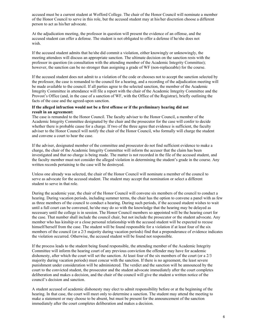accused must be a current student at Wofford College. The chair of the Honor Council will nominate a member of the Honor Council to serve in this role, but the accused student may at his/her discretion choose a different person to act as his/her advocate.

At the adjudication meeting, the professor in question will present the evidence of an offense, and the accused student can offer a defense. The student is not obligated to offer a defense if he/she does not wish.

If the accused student admits that he/she did commit a violation, either knowingly or unknowingly, the meeting attendees will discuss an appropriate sanction. The ultimate decision on the sanction rests with the professor in question (in consultation with the attending member of the Academic Integrity Committee); however, the sanction can be no stronger than assigning a grade of WF (non-replaceable) for the course.

If the accused student does not admit to a violation of the code or chooses not to accept the sanction selected by the professor, the case is remanded to the council for a hearing, and a recording of the adjudication meeting will be made available to the council. If all parties agree to the selected sanction, the member of the Academic Integrity Committee in attendance will file a report with the chair of the Academic Integrity Committee and the Provost's Office (and, in the case of a sanction of WF, with the Office of the Registrar), briefly outlining the facts of the case and the agreed-upon sanction.

#### **If the alleged infraction would not be a first offense or if the preliminary hearing did not result in an agreement:**

The case is remanded to the Honor Council. The faculty adviser to the Honor Council, a member of the Academic Integrity Committee designated by the chair and the prosecutor for the case will confer to decide whether there is probable cause for a charge. If two of the three agree that evidence is sufficient, the faculty adviser to the Honor Council will notify the chair of the Honor Council, who formally will charge the student and convene a court to hear the case.

If the adviser, designated member of the committee and prosecutor do not find sufficient evidence to make a charge, the chair of the Academic Integrity Committee will inform the accuser that the claim has been investigated and that no charge is being made. The matter is not recorded in the file of the accused student, and the faculty member must not consider the alleged violation in determining the student's grade in the course. Any written records pertaining to the case will be destroyed.

Unless one already was selected, the chair of the Honor Council will nominate a member of the council to serve as advocate for the accused student. The student may accept that nomination or select a different student to serve in that role.

During the academic year, the chair of the Honor Council will convene six members of the council to conduct a hearing. During vacation periods, including summer terms, the chair has the option to convene a panel with as few as three members of the council to conduct a hearing. During such periods, if the accused student wishes to wait until a full court can be convened, he/she may do so with the knowledge that the hearing may be delayed as necessary until the college is in session. The Honor Council members so appointed will be the hearing court for the case. That number shall include the council chair, but not include the prosecutor or the student advocate. Any member who has kinship or a close personal relationship with the accused student will be expected to recuse himself/herself from the case. The student will be found responsible for a violation if at least four of the six members of the council (or a 2/3 majority during vacation periods) find that a preponderance of evidence indicates the violation occurred. Otherwise, the accused student will be found not responsible.

If the process leads to the student being found responsible, the attending member of the Academic Integrity Committee will inform the hearing court of any previous conviction the offender may have for academic dishonesty, after which the court will set the sanction. At least four of the six members of the court (or a 2/3 majority during vacation periods) must concur with the sanction. If there is no agreement, the least severe punishment under consideration will be administered. The verdict and the sanction will be announced by the court to the convicted student, the prosecutor and the student advocate immediately after the court completes deliberation and makes a decision, and the chair of the council will give the student a written notice of the council's decision and sanction.

A student accused of academic dishonesty may elect to admit responsibility before or at the beginning of the hearing. In that case, the court will meet only to determine a sanction. The student may attend the meeting to make a statement or may choose to be absent, but must be present for the announcement of the sanction immediately after the court completes deliberation and makes a decision.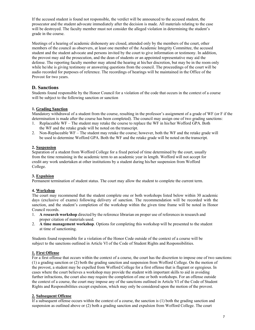If the accused student is found not responsible, the verdict will be announced to the accused student, the prosecutor and the student advocate immediately after the decision is made. All materials relating to the case will be destroyed. The faculty member must not consider the alleged violation in determining the student's grade in the course.

Meetings of a hearing of academic dishonesty are closed, attended only by the members of the court, other members of the council as observers, at least one member of the Academic Integrity Committee, the accused student and the student advocate and persons invited by the court to give information or testimony. In addition, the provost may aid the prosecution, and the dean of students or an appointed representative may aid the defense. The reporting faculty member may attend the hearing at his/her discretion, but may be in the room only while he/she is giving testimony or answering questions from the council. The proceedings of the court will be audio recorded for purposes of reference. The recordings of hearings will be maintained in the Office of the Provost for two years.

## **D. Sanctions**

Students found responsible by the Honor Council for a violation of the code that occurs in the context of a course will be subject to the following sanction or sanction

#### **1. Grading Sanction**

Mandatory withdrawal of a student from the course, resulting in the professor's assignment of a grade of WF (or F if the determination is made after the course has been completed). The council may assign one of two grading sanctions:

- 1. Replaceable WF The student may retake the course to replace the WF in his/her Wofford GPA. Both the WF and the retake grade will be noted on the transcript.
- 2. Non-Replaceable WF The student may retake the course; however, both the WF and the retake grade will be used to determine Wofford GPA. Both the WF and the retake grade will be noted on the transcript.

#### **2. Suspension**

Separation of a student from Wofford College for a fixed period of time determined by the court, usually from the time remaining in the academic term to an academic year in length. Wofford will not accept for credit any work undertaken at other institutions by a student during his/her suspension from Wofford College.

#### **3. Expulsion**

Permanent termination of student status. The court may allow the student to complete the current term.

#### **4. Workshop**

The court may recommend that the student complete one or both workshops listed below within 30 academic days (exclusive of exams) following delivery of sanction. The recommendation will be recorded with the sanction, and the student's completion of the workshop within the given time frame will be noted in Honor Council records.

- 1. **A research workshop** directed by the reference librarian on proper use of references in research and proper citation of materials used.
- 2. **A time management workshop**. Options for completing this workshop will be presented to the student at time of sanctioning.

Students found responsible for a violation of the Honor Code outside of the context of a course will be subject to the sanctions outlined in Article VI of the Code of Student Rights and Responsibilities.

#### **1. First Offense**

For a first offense that occurs within the context of a course, the court has the discretion to impose one of two sanctions: (1) a grading sanction or (2) both the grading sanction and suspension from Wofford College. On the motion of the provost, a student may be expelled from Wofford College for a first offense that is flagrant or egregious. In cases where the court believes a workshop may provide the student with important skills to aid in avoiding further infractions, the court also may require the completion of one or both workshops. For an offense outside the context of a course, the court may impose any of the sanctions outlined in Article VI of the Code of Student Rights and Responsibilities except expulsion, which may only be considered upon the motion of the provost.

#### **2. Subsequent Offense**

If a subsequent offense occurs within the context of a course, the sanction is (1) both the grading sanction and suspension as outlined above or (2) both a grading sanction and expulsion from Wofford College. The court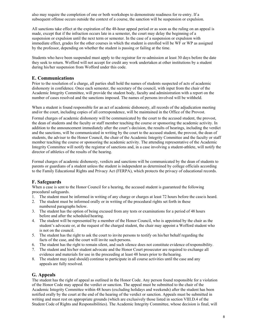also may require the completion of one or both workshops to demonstrate readiness for re-entry. If a subsequent offense occurs outside the context of a course, the sanction will be suspension or expulsion.

All sanctions take effect at the expiration of the 48-hour appeal period or as soon as the ruling on an appeal is made, except that if the infraction occurs late in a semester, the court may delay the beginning of a suspension or expulsion until the next term or semester. In the case of a suspension or expulsion with immediate effect, grades for the other courses in which the student is enrolled will be WF or WP as assigned by the professor, depending on whether the student is passing or failing at the time.

Students who have been suspended must apply to the registrar for re-admission at least 30 days before the date they seek to return. Wofford will not accept for credit any work undertaken at other institutions by a student during his/her suspension from Wofford under this code.

# **E. Communications**

Prior to the resolution of a charge, all parties shall hold the names of students suspected of acts of academic dishonesty in confidence. Once each semester, the secretary of the council, with input from the chair of the Academic Integrity Committee, will provide the student body, faculty and administration with a report on the number of cases resolved and the sanctions imposed. The names of persons involved will be withheld.

When a student is found responsible for an act of academic dishonesty, all records of the adjudication meeting and/or the court, including copies of all correspondence, will be maintained in the Office of the Provost.

Formal charges of academic dishonesty will be communicated by the court to the accused student, the provost, the dean of students and the faculty or staff member teaching the course or sponsoring the academic activity. In addition to the announcement immediately after the court's decision, the results of hearings, including the verdict and the sanctions, will be communicated in writing by the court to the accused student, the provost, the dean of students, the adviser to the Honor Council, the chair of the Academic Integrity Committee and the faculty or staff member teaching the course or sponsoring the academic activity. The attending representative of the Academic Integrity Committee will notify the registrar of sanctions and, in a case involving a student-athlete, will notify the director of athletics of the results of the hearing.

Formal charges of academic dishonesty, verdicts and sanctions will be communicated by the dean of students to parents or guardians of a student unless the student is independent as determined by college officials according to the Family Educational Rights and Privacy Act (FERPA), which protects the privacy of educational records.

# **F. Safeguards**

When a case is sent to the Honor Council for a hearing, the accused student is guaranteed the following procedural safeguards.

- 1. The student must be informed in writing of any charge or charges at least 72 hours before the caseis heard.
- 2. The student must be informed orally or in writing of the procedural rights set forth in these numbered paragraphs below.
- 3. The student has the option of being excused from any tests or examinations for a period of 48 hours before and after the scheduled hearing.
- 4. The student will be represented by a member of the Honor Council, who is appointed by the chair as the student's advocate or, at the request of the charged student, the chair may appoint a Wofford student who is not on the council.
- 5. The student has the right to ask the court to invite persons to testify on his/her behalf regarding the facts of the case, and the court will invite such persons.
- 6. The student has the right to remain silent, and such silence does not constitute evidence ofresponsibility.
- 7. The student and his/her student advocate and the Honor Court prosecutor are required to exchange all evidence and materials for use in the proceeding at least 48 hours prior to thehearing.
- 8. The student may (and should) continue to participate in all course activities until the case and any appeals are fully resolved.

#### **G. Appeals**

The student has the right of appeal as outlined in the Honor Code. Any person found responsible for a violation of the Honor Code may appeal the verdict or sanction. The appeal must be submitted to the chair of the Academic Integrity Committee within 48 hours (excluding holidays and weekends) after the student has been notified orally by the court at the end of the hearing of the verdict or sanction. Appeals must be submitted in writing and must rest on appropriate grounds (which are exclusively those listed in section VIII.D.4 of the Student Code of Rights and Responsibilities). The Academic Integrity Committee, whose decision is final, will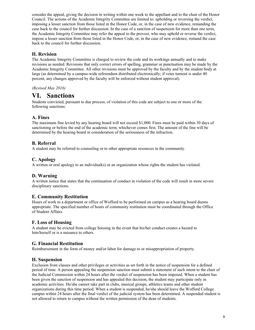consider the appeal, giving the decision in writing within one week to the appellant and to the chair of the Honor Council. The actions of the Academic Integrity Committee are limited to: upholding or reversing the verdict, imposing a lesser sanction from those listed in the Honor Code, or, in the case of new evidence, remanding the case back to the council for further discussion. In the case of a sanction of suspension for more than one term, the Academic Integrity Committee may refer the appeal to the provost, who may uphold or reverse the verdict, impose a lesser sanction from those listed in the Honor Code, or, in the case of new evidence, remand the case back to the council for further discussion.

# **H. Revision**

The Academic Integrity Committee is charged to review the code and its workings annually and to make revisions as needed. Revisions that only correct errors of spelling, grammar or punctuation may be made by the Academic Integrity Committee. All other revisions must be approved by the faculty and by the student body at large (as determined by a campus-wide referendum distributed electronically; if voter turnout is under 40 percent, any changes approved by the faculty will be enforced without student approval).

*(Revised May 2016)*

# **VI. Sanctions**

Students convicted, pursuant to due process, of violation of this code are subject to one or more of the following sanctions:

## **A. Fines**

The maximum fine levied by any hearing board will not exceed \$1,000. Fines must be paid within 30 days of sanctioning or before the end of the academic term, whichever comes first. The amount of the fine will be determined by the hearing board in consideration of the seriousness of the infraction.

## **B. Referral**

A student may be referred to counseling or to other appropriate resources in the community.

## **C. Apology**

A written or oral apology to an individual(s) or an organization whose rights the student has violated.

# **D. Warning**

A written notice that states that the continuation of conduct in violation of the code will result in more severe disciplinary sanctions.

# **E. Community Restitution**

Hours of work to a department or office of Wofford to be performed on campus as a hearing board deems appropriate. The specified number of hours of community restitution must be coordinated through the Office of Student Affairs.

#### **F. Loss of Housing**

A student may be evicted from college housing in the event that his/her conduct creates a hazard to him/herself or is a nuisance to others.

# **G. Financial Restitution**

Reimbursement in the form of money and/or labor for damage to or misappropriation of property.

#### **H. Suspension**

Exclusion from classes and other privileges or activities as set forth in the notice of suspension for a defined period of time. A person appealing the suspension sanction must submit a statement of such intent to the chair of the Judicial Commission within 24 hours after the verdict of suspension has been imposed. When a student has been given the sanction of suspension and has appealed this decision, the student may participate only in academic activities. He/she cannot take part in clubs, musical groups, athletics teams and other student organizations during this time period. When a student is suspended, he/she should leave the Wofford College campus within 24 hours after the final verdict of the judicial system has been determined. A suspended student is not allowed to return to campus without the written permission of the dean of students.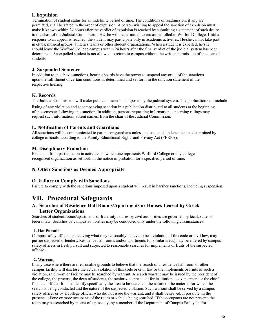# **I. Expulsion**

Termination of student status for an indefinite period of time. The conditions of readmission, if any are permitted, shall be stated in the order of expulsion. A person wishing to appeal the sanction of expulsion must make it known within 24 hours after the verdict of expulsion is reached by submitting a statement of such desire to the chair of the Judicial Commission. He/she will be permitted to remain enrolled in Wofford College. Until a response to an appeal is reached, the student may participate only in academic activities. He/she cannot take part in clubs, musical groups, athletics teams or other student organizations. When a student is expelled, he/she should leave the Wofford College campus within 24 hours after the final verdict of the judicial system has been determined. An expelled student is not allowed to return to campus without the written permission of the dean of students.

# **J. Suspended Sentence**

In addition to the above sanctions, hearing boards have the power to suspend any or all of the sanctions upon the fulfillment of certain conditions as determined and set forth in the sanction statement of the respective hearing.

# **K. Records**

The Judicial Commission will make public all sanctions imposed by the judicial system. The publication will include

listing of any violation and accompanying sanction in a publication distributed to all students at the beginning of the semester following the sanction. In addition, persons requesting information concerning rulings may request such information, absent names, from the chair of the Judicial Commission.

# **L. Notification of Parents and Guardians**

All sanctions will be communicated to parents or guardians unless the student is independent as determined by college officials according to the Family Educational Rights and Privacy Act (FERPA).

# **M. Disciplinary Probation**

Exclusion from participation in activities in which one represents Wofford College or any collegerecognized organization as set forth in the notice of probation for a specified period of time.

# **N. Other Sanctions as Deemed Appropriate**

# **O. Failure to Comply with Sanctions**

Failure to comply with the sanctions imposed upon a student will result in harsher sanctions, including suspension.

# **VII. Procedural Safeguards**

# **A. Searches of Residence Hall Rooms/Apartments or Houses Leased by Greek Letter Organizations**

Searches of student rooms/apartments or fraternity houses by civil authorities are governed by local, state or federal law. Searches by campus authorities may be conducted only under the following circumstances:

#### **1. Hot Pursuit**

Campus safety officers, perceiving what they reasonably believe to be a violation of this code or civil law, may pursue suspected offenders. Residence hall rooms and/or apartments (or similar areas) may be entered by campus safety officers in fresh pursuit and subjected to reasonable searches for implements or fruits of the suspected offense.

#### **2. Warrant**

In any case where there are reasonable grounds to believe that the search of a residence hall room or other campus facility will disclose the actual violation of this code or civil law or the implements or fruits of such a violation, said room or facility may be searched by warrant. A search warrant may be issued by the president of the college, the provost, the dean of students, the senior vice president for institutional advancement or the chief financial officer. It must identify specifically the area to be searched, the nature of the material for which the search is being conducted and the nature of the suspected violation. Such warrant shall be served by a campus safety officer or by a college official who did not issue the warrant, and it shall be served, if possible, in the presence of one or more occupants of the room or vehicle being searched. If the occupants are not present, the room may be searched by means of a pass key, by a member of the Department of Campus Safety and/or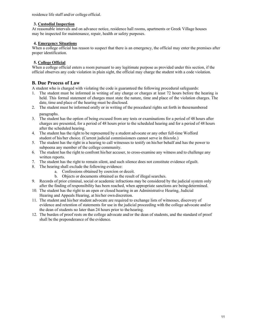residence life staff and/or college official.

#### **3. Custodial Inspection**

At reasonable intervals and on advance notice, residence hall rooms, apartments or Greek Village houses may be inspected for maintenance, repair, health or safety purposes.

#### **4. Emergency Situations**

When a college official has reason to suspect that there is an emergency, the official may enter the premises after proper identification.

### **5. College Official**

When a college official enters a room pursuant to any legitimate purpose as provided under this section, if the official observes any code violation in plain sight, the official may charge the student with a code violation.

# **B. Due Process of Law**

A student who is charged with violating the code is guaranteed the following procedural safeguards:

- 1. The student must be informed in writing of any charge or charges at least 72 hours before the hearing is held. This formal statement of charges must state the nature, time and place of the violation charges. The date, time and place of the hearing must be disclosed.
- 2. The student must be informed orally or in writing of the procedural rights set forth in thesenumbered paragraphs.

- 3. The student has the option of being excused from any tests or examinations for a period of 48 hours after charges are presented, for a period of 48 hours prior to the scheduled hearing and for a period of 48 hours after the scheduled hearing.
- 4. The student has the right to be represented by a student advocate or any other full-time Wofford student of his/her choice. (Current judicial commissioners cannot serve in thisrole.)
- 5. The student has the right in a hearing to call witnesses to testify on his/her behalf and has the power to subpoena any member of the college community.
- 6. The student has the right to confront his/her accuser, to cross-examine any witness and to challenge any written reports.
- 7. The student has the right to remain silent, and such silence does not constitute evidence ofguilt.
- 8. The hearing shall exclude the following evidence:
	- a. Confessions obtained by coercion or deceit.
	- b. Objects or documents obtained as the result of illegal searches.
- 9. Records of prior criminal, social or academic infractions may be considered by the judicial system only after the finding of responsibility has been reached, when appropriate sanctions are beingdetermined.
- 10. The student has the right to an open or closed hearing in an Administrative Hearing, Judicial Hearing and Appeals Hearing, at his/her own discretion.
- 11. The student and his/her student advocate are required to exchange lists of witnesses, discovery of evidence and retention of statements for use in the judicial proceeding with the college advocate and/or the dean of students no later than 24 hours prior to the hearing.
- 12. The burden of proof rests on the college advocate and/or the dean of students, and the standard of proof shall be the preponderance of the evidence.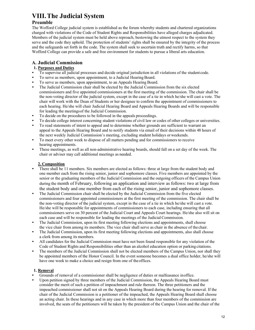# **VIII.The Judicial System**

# **Preamble**

The Wofford College judicial system is established as the forum whereby students and chartered organizations charged with violations of the Code of Student Rights and Responsibilities have alleged charges adjudicated. Members of the judicial system must be held above reproach, bestowing the utmost respect to the system they serve and the code they uphold. The protection of students' rights shall be ensured by the integrity of the process and the safeguards set forth in the code. The system shall seek to ascertain truth and rectify harms, so that Wofford College can provide a safe and free environment for students to pursue a liberal arts education.

# **A. Judicial Commission**

# **1. Purposes and Duties**

- To supervise all judicial processes and decide original jurisdiction in all violations of the student code.
- To serve as members, upon appointment, to a Judicial Hearing Board.<br>• To serve as members, upon appointment, to an Appeals Hearing Board.
- To serve as members, upon appointment, to an Appeals Hearing Board.
- The Judicial Commission chair shall be elected by the Judicial Commission from the six elected commissioners and five appointed commissioners at the first meeting of the commission. The chair shall be the non-voting director of the judicial system, except in the case of a tie in which he/she will cast a vote. The chair will work with the Dean of Students or her designee to confirm the appointment of commissioners to each hearing. He/she will chair Judicial Hearing Board and Appeals Hearing Boards and will be responsible for leading the meetingsof the Judicial Commission.
- To decide on the procedures to be followed in the appeals proceedings.
- To decide college interest concerning student violations of civil law or codes of other colleges or universities.
- To read statements of intent to appeal and to determine whether grounds are sufficient to warrant an appeal to the Appeals Hearing Board and to notify students via email of their decisions within 48 hours of the next weekly Judicial Commission's meeting, excluding student holidays orweekends.
- To meet every other week to dispose of all matters pending and for commissioners to receive hearing appointments.
- These meetings, as well as all non-administrative hearing boards, should fall on a set day of the week. The chair or adviser may call additional meetings as needed.

# **2. Composition**

- There shall be 11 members. Six members are elected as follows: three at large from the student body and one member each from the rising senior, junior and sophomore classes. Five members are appointed by the senior or the graduating members of the Judicial Commission and the outgoing officers of the Campus Union during the month of February, following an application and interview as follows: two at large from the student body and one member from each of the rising senior, junior and sophomore classes.
- The Judicial Commission chair shall be elected by the Judicial Commission from the five elected commissioners and four appointed commissioners at the first meeting of the commission. The chair shall be the non-voting director of the judicial system, except in the case of a tie in which he/she will cast a vote. He/she will be responsible for appointments of commissioners to each case, including ensuring that all commissioners serve on 30 percent of the Judicial Court and Appeals Court hearings. He/she also will sit on each case and will be responsible for leading the meetings of the Judicial Commission.
- The Judicial Commission, upon its first meeting following elections and appointments, shall choose the vice chair from among its members. The vice chair shall serve as chair in the absence of the chair.
- The Judicial Commission, upon its first meeting following elections and appointments, also shall choose a clerk from among its members.
- All candidates for the Judicial Commission must have not been found responsible for any violation of the Code of Student Rights and Responsibilities other than an alcohol education option or parking citations.
- The members of the Judicial Commission shall not be elected members of the Campus Union, nor shall they be appointed members of the Honor Council. In the event someone becomes a dual office holder, he/she will have one week to make a choice and resign from one of theoffices.

# **1. Removal**

- Grounds of removal of a commissioner shall be negligence of duties or malfeasance inoffice.
- Upon petition signed by three members of the Judicial Commission, the Appeals Hearing Board must consider the merit of such a petition of impeachment and rule thereon. The three petitioners and the impeached commissioner shall not sit on the Appeals Hearing Board during the hearing for removal. If the chair of the Judicial Commission is a petitioner of the impeached, the Appeals Hearing Board shall choose an acting chair. In these hearings and in any case in which more than four members of the commission are involved, the seats of the petitioners will be taken by the president of the Campus Union and the chair of the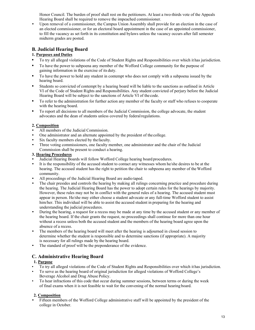Honor Council. The burden of proof shall rest on the petitioners. At least a two-thirds vote of the Appeals Hearing Board shall be required to remove the impeached commissioner.

• Upon removal of a commissioner, the Campus Union Assembly shall provide for an election in the case of an elected commissioner, or for an electoral board appointment in the case of an appointed commissioner, to fill the vacancy as set forth in its constitution and bylaws unless the vacancy occurs after fall semester midterm grades are posted.

# **B. Judicial Hearing Board**

# **1. Purposes and Duties**

- **•** To try all alleged violations of the Code of Student Rights and Responsibilities over which it has jurisdiction.
- **•** To have the power to subpoena any member of the Wofford College community for the purpose of gaining information in the exercise of its duty.
- **•** To have the power to hold any student in contempt who does not comply with a subpoena issued by the hearing board.
- **•** Students so convicted of contempt by a hearing board will be liable to the sanctions as outlined in Article VI of the Code of Student Rights and Responsibilities. Any student convicted of perjury before the Judicial Hearing Board will be subject to the sanctions of Article VI of the code.
- **•** To refer to the administration for further action any member of the faculty or staff who refuses to cooperate with the hearing board.
- **•** To report all decisions to all members of the Judicial Commission, the college advocate, the student advocates and the dean of students unless covered by federal regulations.

#### **2. Composition**

- All members of the Judicial Commission.<br>• One administrator and an alternate appain
- One administrator and an alternate appointed by the president of the college.
- Six faculty members elected by the faculty.
- Three voting commissioners, one faculty member, one administrator and the chair of the Judicial Commission shall be present to conduct a hearing.

#### **3. Hearing Procedures**

- Judicial Hearing Boards will follow Wofford College hearing board procedures.
- It is the responsibility of the accused student to contact any witnesses whom he/she desires to be at the hearing. The accused student has the right to petition the chair to subpoena any member of the Wofford community.
- All proceedings of the Judicial Hearing Board are audio taped.
- The chair presides and controls the hearing by making all rulings concerning practice and procedure during the hearing. The Judicial Hearing Board has the power to adopt certain rules for the hearings by majority. However, these rules may not be in conflict with the general rules of a hearing. The accused student must appear in person. He/she may either choose a student advocate or any full-time Wofford student to assist him/her. This individual will be able to assist the accused student in preparing for the hearing and understanding the judicial procedures.
- During the hearing, a request for a recess may be made at any time by the accused student or any member of the hearing board. If the chair grants the request, no proceedings shall continue for more than one hour without a recess unless both the accused student and the members of the hearing board agree upon the absence of a recess.
- The members of the hearing board will meet after the hearing is adjourned in closed session to determine whether the student is responsible and to determine sanctions (if appropriate). A majority is necessary for all rulings made by the hearing board.
- The standard of proof will be the preponderance of the evidence.

# **C. Administrative Hearing Board**

#### **1. Purpose**

- To try all alleged violations of the Code of Student Rights and Responsibilities over which it has jurisdiction.
- To serve as the hearing board of original jurisdiction for alleged violations of Wofford College's Beverage Alcohol and Drug Abuse Policy.
- To hear infractions of this code that occur during summer sessions, between terms or during the week of final exams when it is not feasible to wait for the convening of the normal hearing board.

#### **2. Composition**

• Fifteen members of the Wofford College administrative staff will be appointed by the president of the college in October.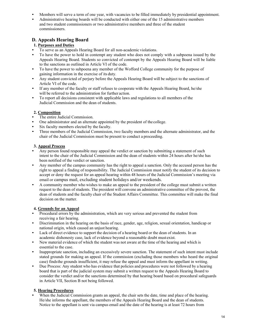- Members will serve a term of one year, with vacancies to be filled immediately by presidential appointment.
- Administrative hearing boards will be conducted with either one of the 15 administrative members and two student commissioners or two administrative members and three of the student commissioners.

# **D. Appeals Hearing Board**

### **1. Purposes and Duties**

- To serve as an Appeals Hearing Board for all non-academic violations.<br>• To have the nower to hold in contemnt any student who does not com-
- To have the power to hold in contempt any student who does not comply with a subpoena issued by the Appeals Hearing Board. Students so convicted of contempt by the Appeals Hearing Board will be liable to the sanctions as outlined in Article VI of the code.
- To have the power to subpoena any member of the Wofford College community for the purpose of gaining information in the exercise of its duty.
- Any student convicted of perjury before the Appeals Hearing Board will be subject to the sanctions of Article VI of the code.
- If any member of the faculty or staff refuses to cooperate with the Appeals Hearing Board, he/she will be referred to the administration for further action.
- To report all decisions consistent with applicable laws and regulations to all members of the Judicial Commission and the dean of students.

## **2. Composition**

- The entire Judicial Commission.
- One administrator and an alternate appointed by the president of the college.
- Six faculty members elected by the faculty.
- Three members of the Judicial Commission, two faculty members and the alternate administrator, and the chair of the Judicial Commission must be present to conduct a proceeding.

#### **3. Appeal Process**

- Any person found responsible may appeal the verdict or sanction by submitting a statement of such intent to the chair of the Judicial Commission and the dean of students within 24 hours after he/she has been notified of the verdict or sanction.
- Any member of the campus community has the right to appeal a sanction. Only the accused person has the right to appeal a finding of responsibility. The Judicial Commission must notify the student of its decision to accept or deny the request for an appeal hearing within 48 hours of the Judicial Commission's meeting via email or campus mail, excluding student holidays and/or weekends.
- A community member who wishes to make an appeal to the president of the college must submit a written request to the dean of students. The president will convene an administrative committee of the provost, the dean of students and the faculty chair of the Student Affairs Committee. This committee will make the final decision on the matter.

#### **4. Grounds for an Appeal**

- Procedural errors by the administration, which are very serious and prevented the student from receiving a fair hearing.
- Discrimination in the hearing on the basis of race, gender, age, religion, sexual orientation, handicap or national origin, which caused an unjust hearing.
- Lack of direct evidence to support the decision of a hearing board or the dean of students. In an academic dishonesty case, lack of evidence beyond a reasonable doubt mustexist.
- New material evidence of which the student was not aware at the time of the hearing and which is essential to the case.
- Inappropriate sanction, including an excessively severe sanction. The statement of such intent must include stated grounds for making an appeal. If the commission (excluding those members who heard the original case) findsthe grounds insufficient, it may refuse the appeal and must inform the appellant in writing.
- Due Process: Any student who has evidence that policies and procedures were not followed by a hearing board that is part of the judicial system may submit a written request to the Appeals Hearing Board to consider the verdict and/or the sanctions determined by that hearing board based on procedural safeguards in Article VII, Section B not being followed.

#### **5. Hearing Procedures**

When the Judicial Commission grants an appeal, the chair sets the date, time and place of the hearing. He/she informs the appellant, the members of the Appeals Hearing Board and the dean of students. Notice to the appellant is sent via campus email and the date of the hearing is at least 72 hours from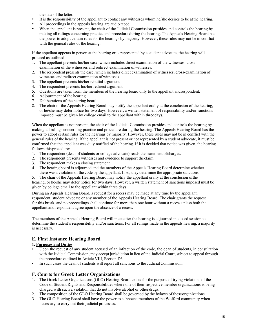the date of the letter.

- It is the responsibility of the appellant to contact any witnesses whom he/she desires to be at the hearing.
- All proceedings in the appeals hearing are audio taped.
- When the appellant is present, the chair of the Judicial Commission presides and controls the hearing by making all rulings concerning practice and procedure during the hearing. The Appeals Hearing Board has the power to adopt certain rules for the hearings by majority. However, these rules may not be in conflict with the general rules of the hearing.

If the appellant appears in person at the hearing or is represented by a student advocate, the hearing will proceed as outlined:

- 1. The appellant presents his/her case, which includes direct examination of the witnesses, crossexamination of the witnesses and redirect examination of witnesses.
- 2. The respondent presents the case, which includes direct examination of witnesses, cross-examination of witnesses and redirect examination of witnesses.
- 3. The appellant presents his/her rebuttal argument.
- 4. The respondent presents his/her redirect argument.
- 5. Questions are taken from the members of the hearing board only to the appellant andrespondent.
- 6. Adjournment of the hearing.
- 7. Deliberations of the hearing board.
- 8. The chair of the Appeals Hearing Board may notify the appellant orally at the conclusion of the hearing, or he/she may defer notice for two days. However, a written statement of responsibility and/or sanctions imposed must be given by college email to the appellant within threedays.

When the appellant is not present, the chair of the Judicial Commission presides and controls the hearing by making all rulings concerning practice and procedure during the hearing. The Appeals Hearing Board has the power to adopt certain rules for the hearings by majority. However, these rules may not be in conflict with the general rules of the hearing. If the appellant is not present or not represented by a student advocate, it must be confirmed that the appellant was duly notified of the hearing. If it is decided that notice was given, the hearing follows this procedure:

- 1. The respondent (dean of students or college advocate) reads the statement ofcharges.
- 2. The respondent presents witnesses and evidence to support theclaim.
- 3. The respondent makes a closing statement.
- 4. The hearing board is adjourned and the members of the Appeals Hearing Board determine whether there wasa violation of the code by the appellant. If so, they determine the appropriate sanctions.

5. The chair of the Appeals Hearing Board may notify the appellant orally at the conclusion ofthe hearing, or he/she may defer notice for two days. However, a written statement of sanctions imposed must be given by college email to the appellant within three days.

During an Appeals Hearing Board, a request for a recess may be made at any time by the appellant, respondent, student advocate or any member of the Appeals Hearing Board. The chair grants the request for this break, and no proceedings shall continue for more than one hour without a recess unless both the appellant and respondent agree upon the absence of a recess.

The members of the Appeals Hearing Board will meet after the hearing is adjourned in closed session to determine the student's responsibility and/or sanctions. For all rulings made in the appeals hearing, a majority is necessary.

# **E. First Instance Hearing Board**

#### **1. Purposes and Duties**

- Upon the request of any student accused of an infraction of the code, the dean of students, in consultation with the Judicial Commission, may accept jurisdiction in lieu of the Judicial Court, subject to appeal through the procedure outlined in Article VIII, Section D3.
- In such cases the dean of students will report all sanctions to the Judicial Commission.

# **F. Courts for Greek Letter Organizations**

- 1. The Greek Letter Organizations (GLO) Hearing Board exists for the purpose of trying violations of the Code of Student Rights and Responsibilities where one of their respective member organizations is being charged with such a violation that do not involve alcohol or other drugs.
- 2. The composition of the GLO Hearing Board shall be governed by the bylaws of theseorganizations.
- 3. The GLO Hearing Board shall have the power to subpoena members of the Wofford community when necessary to carry out their judicial processes.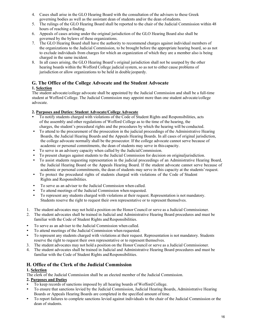- 4. Cases shall arise in the GLO Hearing Board with the consultation of the advisers to these Greek governing bodies as well as the assistant dean of students and/or the dean ofstudents.
- 5. The rulings of the GLO Hearing Board shall be reported to the chair of the Judicial Commission within 48 hours of reaching a finding.
- 6. Appeals of cases arising under the original jurisdiction of the GLO Hearing Board also shall be governed by the bylaws of these organizations.
- 7. The GLO Hearing Board shall have the authority to recommend charges against individual members of the organizations to the Judicial Commission, to be brought before the appropriate hearing board, so as not to exclude individuals from charges for which an organization of which they are a member also is being charged in the same incident.
- 8. In all cases arising, the GLO Hearing Board's original jurisdiction shall not be usurped by the other hearing boards within the Wofford College judicial system, so as not to either cause problems of jurisdiction or allow organizations to be held in double jeopardy.

# **G. The Office of the College Advocate and the Student Advocate 1. Selection**

The student advocate/college advocate shall be appointed by the Judicial Commission and shall be a full-time student at Wofford College. The Judicial Commission may appoint more than one student advocate/college advocate.

## **2. Purposes and Duties: Student Advocate/College Advocate**

- To notify students charged with violations of the Code of Student Rights and Responsibilities, acts of the assembly and other regulations of Wofford College as to the time of the hearing, the charges, the student's procedural rights and the procedures by which the hearing will be conducted.
- To attend to the procurement of the prosecution in the judicial proceedings of the Administrative Hearing Boards, the Judicial Hearing Boards and the Appeals Hearing Boards. In all cases of original jurisdiction, the college advocate normally shall be the prosecutor. If the college advocate cannot serve because of academic or personal commitments, the dean of students may serve in this capacity.
- To serve in an advisory capacity when called by the JudicialCommission.
- To present charges against students to the Judicial Commission for decision on original jurisdiction.<br>• To assist students requesting representation in the judicial proceedings of an Administrative Heari
- To assist students requesting representation in the judicial proceedings of an Administrative Hearing Board, the Judicial Hearing Board or the Appeals Hearing Board. If the student advocate cannot serve because of academic or personal commitments, the dean of students may serve in this capacity at the students'request.
- To protect the procedural rights of students charged with violations of the Code of Student Rights and Responsibilities.
- To serve as an adviser to the Judicial Commission when called.
- To attend meetings of the Judicial Commission when requested.
- To represent any students charged with violations at their request. Representation is not mandatory. Students reserve the right to request their own representative or to represent themselves.
- 1. The student advocates may not hold a position on the Honor Council or serve as a Judicial Commissioner.
- 2. The student advocates shall be trained in Judicial and Administrative Hearing Board procedures and must be familiar with the Code of Student Rights and Responsibilities.
- To serve as an adviser to the Judicial Commission when called.
- To attend meetings of the Judicial Commission when requested.
- To represent any students charged with violations at their request. Representation is not mandatory. Students reserve the right to request their own representative or to represent themselves.
- 3. The student advocates may not hold a position on the Honor Council or serve as a Judicial Commissioner.
- 4. The student advocates shall be trained in Judicial and Administrative Hearing Board procedures and must be familiar with the Code of Student Rights and Responsibilities.

# **H. Office of the Clerk of the Judicial Commission**

#### **1. Selection**

The clerk of the Judicial Commission shall be an elected member of the Judicial Commission.

#### **2. Purposes and Duties**

- To keep records of sanctions imposed by all hearing boards of Wofford College.
- To ensure that sanctions levied by the Judicial Commission, Judicial Hearing Boards, Administrative Hearing Boards or Appeals Hearing Boards are completed in the specified amount oftime.
- To report failures to complete sanctions levied against individuals to the chair of the Judicial Commission or the dean of students.